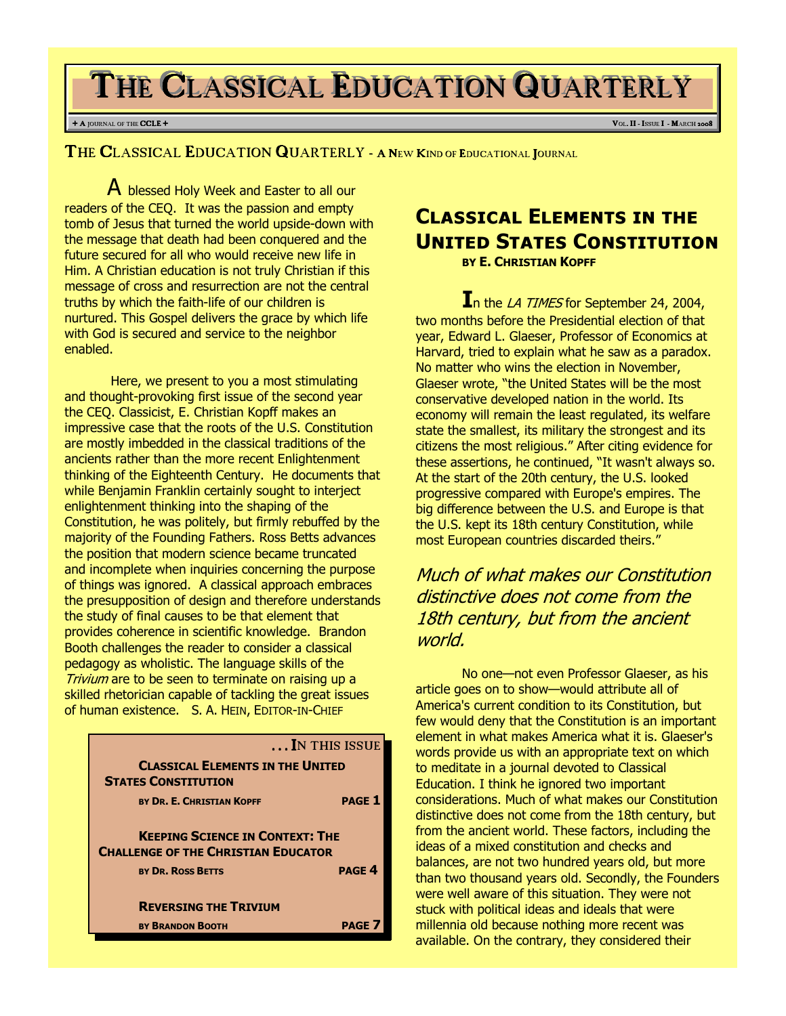# THE CLASSICAL EDUCATION QUARTERLY

#### + A JOURNAL OF THE **CCLE** + **V**OL. **II** - **ISSUE I** - MARCH 2008

THE CLASSICAL EDUCATION QUARTERLY - A NEW KIND OF EDUCATIONAL JOURNAL

A blessed Holy Week and Easter to all our readers of the CEQ. It was the passion and empty tomb of Jesus that turned the world upside-down with the message that death had been conquered and the future secured for all who would receive new life in Him. A Christian education is not truly Christian if this message of cross and resurrection are not the central truths by which the faith-life of our children is nurtured. This Gospel delivers the grace by which life with God is secured and service to the neighbor enabled.

Here, we present to you a most stimulating and thought-provoking first issue of the second year the CEQ. Classicist, E. Christian Kopff makes an impressive case that the roots of the U.S. Constitution are mostly imbedded in the classical traditions of the ancients rather than the more recent Enlightenment thinking of the Eighteenth Century. He documents that while Benjamin Franklin certainly sought to interject enlightenment thinking into the shaping of the Constitution, he was politely, but firmly rebuffed by the majority of the Founding Fathers. Ross Betts advances the position that modern science became truncated and incomplete when inquiries concerning the purpose of things was ignored. A classical approach embraces the presupposition of design and therefore understands the study of final causes to be that element that provides coherence in scientific knowledge. Brandon Booth challenges the reader to consider a classical pedagogy as wholistic. The language skills of the Trivium are to be seen to terminate on raising up a skilled rhetorician capable of tackling the great issues of human existence. S. A. HEIN, EDITOR-IN-CHIEF

|                                                                                      | In this issue |
|--------------------------------------------------------------------------------------|---------------|
| <b>CLASSICAL ELEMENTS IN THE UNITED</b><br><b>STATES CONSTITUTION</b>                |               |
| BY DR. E. CHRISTIAN KOPFF                                                            | <b>PAGE 1</b> |
| <b>KEEPING SCIENCE IN CONTEXT: THE</b><br><b>CHALLENGE OF THE CHRISTIAN EDUCATOR</b> |               |
| <b>BY DR. ROSS BETTS</b>                                                             | <b>PAGE 4</b> |
| <b>REVERSING THE TRIVIUM</b>                                                         |               |
| <b>BY BRANDON BOOTH</b>                                                              | <b>PAGE</b>   |

### Classical Elements in the United States Constitution BY E. CHRISTIAN KOPFF

In the LA TIMES for September 24, 2004, two months before the Presidential election of that year, Edward L. Glaeser, Professor of Economics at Harvard, tried to explain what he saw as a paradox. No matter who wins the election in November, Glaeser wrote, "the United States will be the most conservative developed nation in the world. Its economy will remain the least regulated, its welfare state the smallest, its military the strongest and its citizens the most religious." After citing evidence for these assertions, he continued, "It wasn't always so. At the start of the 20th century, the U.S. looked progressive compared with Europe's empires. The big difference between the U.S. and Europe is that the U.S. kept its 18th century Constitution, while most European countries discarded theirs."

Much of what makes our Constitution distinctive does not come from the 18th century, but from the ancient world.

No one—not even Professor Glaeser, as his article goes on to show—would attribute all of America's current condition to its Constitution, but few would deny that the Constitution is an important element in what makes America what it is. Glaeser's words provide us with an appropriate text on which to meditate in a journal devoted to Classical Education. I think he ignored two important considerations. Much of what makes our Constitution distinctive does not come from the 18th century, but from the ancient world. These factors, including the ideas of a mixed constitution and checks and balances, are not two hundred years old, but more than two thousand years old. Secondly, the Founders were well aware of this situation. They were not stuck with political ideas and ideals that were millennia old because nothing more recent was available. On the contrary, they considered their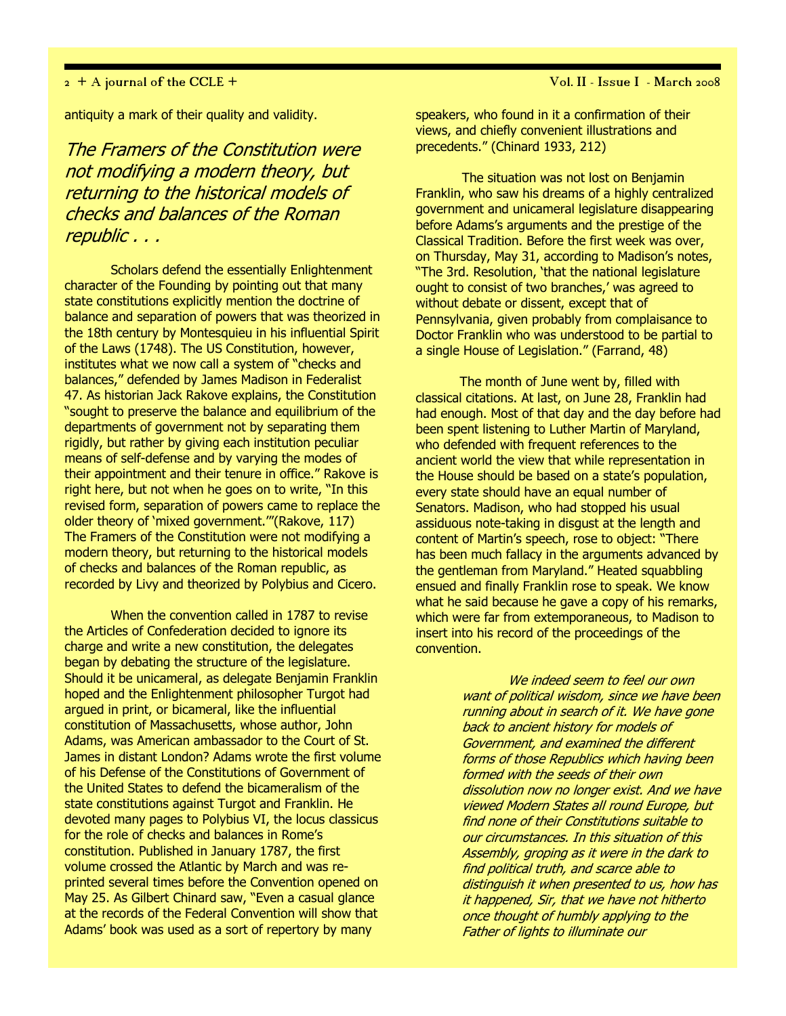#### 2 + A journal of the CCLE + Vol. II - Issue I - March 2008

antiquity a mark of their quality and validity.

The Framers of the Constitution were not modifying a modern theory, but returning to the historical models of checks and balances of the Roman republic . . .

Scholars defend the essentially Enlightenment character of the Founding by pointing out that many state constitutions explicitly mention the doctrine of balance and separation of powers that was theorized in the 18th century by Montesquieu in his influential Spirit of the Laws (1748). The US Constitution, however, institutes what we now call a system of "checks and balances," defended by James Madison in Federalist 47. As historian Jack Rakove explains, the Constitution "sought to preserve the balance and equilibrium of the departments of government not by separating them rigidly, but rather by giving each institution peculiar means of self-defense and by varying the modes of their appointment and their tenure in office." Rakove is right here, but not when he goes on to write, "In this revised form, separation of powers came to replace the older theory of 'mixed government.'"(Rakove, 117) The Framers of the Constitution were not modifying a modern theory, but returning to the historical models of checks and balances of the Roman republic, as recorded by Livy and theorized by Polybius and Cicero.

When the convention called in 1787 to revise the Articles of Confederation decided to ignore its charge and write a new constitution, the delegates began by debating the structure of the legislature. Should it be unicameral, as delegate Benjamin Franklin hoped and the Enlightenment philosopher Turgot had argued in print, or bicameral, like the influential constitution of Massachusetts, whose author, John Adams, was American ambassador to the Court of St. James in distant London? Adams wrote the first volume of his Defense of the Constitutions of Government of the United States to defend the bicameralism of the state constitutions against Turgot and Franklin. He devoted many pages to Polybius VI, the locus classicus for the role of checks and balances in Rome's constitution. Published in January 1787, the first volume crossed the Atlantic by March and was reprinted several times before the Convention opened on May 25. As Gilbert Chinard saw, "Even a casual glance at the records of the Federal Convention will show that Adams' book was used as a sort of repertory by many

speakers, who found in it a confirmation of their views, and chiefly convenient illustrations and precedents." (Chinard 1933, 212)

The situation was not lost on Benjamin Franklin, who saw his dreams of a highly centralized government and unicameral legislature disappearing before Adams's arguments and the prestige of the Classical Tradition. Before the first week was over, on Thursday, May 31, according to Madison's notes, "The 3rd. Resolution, 'that the national legislature ought to consist of two branches,' was agreed to without debate or dissent, except that of Pennsylvania, given probably from complaisance to Doctor Franklin who was understood to be partial to a single House of Legislation." (Farrand, 48)

 The month of June went by, filled with classical citations. At last, on June 28, Franklin had had enough. Most of that day and the day before had been spent listening to Luther Martin of Maryland, who defended with frequent references to the ancient world the view that while representation in the House should be based on a state's population, every state should have an equal number of Senators. Madison, who had stopped his usual assiduous note-taking in disgust at the length and content of Martin's speech, rose to object: "There has been much fallacy in the arguments advanced by the gentleman from Maryland." Heated squabbling ensued and finally Franklin rose to speak. We know what he said because he gave a copy of his remarks, which were far from extemporaneous, to Madison to insert into his record of the proceedings of the convention.

> We indeed seem to feel our own want of political wisdom, since we have been running about in search of it. We have gone back to ancient history for models of Government, and examined the different forms of those Republics which having been formed with the seeds of their own dissolution now no longer exist. And we have viewed Modern States all round Europe, but find none of their Constitutions suitable to our circumstances. In this situation of this Assembly, groping as it were in the dark to find political truth, and scarce able to distinguish it when presented to us, how has it happened, Sir, that we have not hitherto once thought of humbly applying to the Father of lights to illuminate our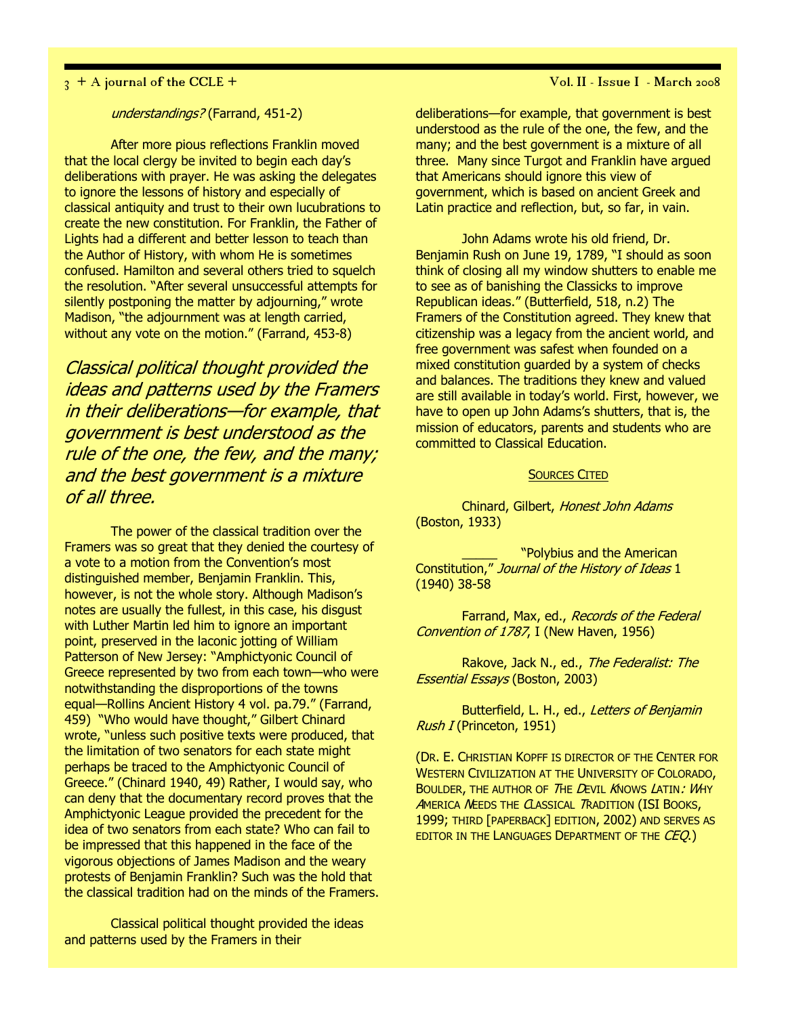$\frac{1}{3}$  + A journal of the CCLE +  $\frac{1}{3}$  + A journal of the CCLE +

### understandings? (Farrand, 451-2)

After more pious reflections Franklin moved that the local clergy be invited to begin each day's deliberations with prayer. He was asking the delegates to ignore the lessons of history and especially of classical antiquity and trust to their own lucubrations to create the new constitution. For Franklin, the Father of Lights had a different and better lesson to teach than the Author of History, with whom He is sometimes confused. Hamilton and several others tried to squelch the resolution. "After several unsuccessful attempts for silently postponing the matter by adjourning," wrote Madison, "the adjournment was at length carried, without any vote on the motion." (Farrand, 453-8)

Classical political thought provided the ideas and patterns used by the Framers in their deliberations—for example, that government is best understood as the rule of the one, the few, and the many; and the best government is a mixture of all three.

The power of the classical tradition over the Framers was so great that they denied the courtesy of a vote to a motion from the Convention's most distinguished member, Benjamin Franklin. This, however, is not the whole story. Although Madison's notes are usually the fullest, in this case, his disgust with Luther Martin led him to ignore an important point, preserved in the laconic jotting of William Patterson of New Jersey: "Amphictyonic Council of Greece represented by two from each town—who were notwithstanding the disproportions of the towns equal—Rollins Ancient History 4 vol. pa.79." (Farrand, 459) "Who would have thought," Gilbert Chinard wrote, "unless such positive texts were produced, that the limitation of two senators for each state might perhaps be traced to the Amphictyonic Council of Greece." (Chinard 1940, 49) Rather, I would say, who can deny that the documentary record proves that the Amphictyonic League provided the precedent for the idea of two senators from each state? Who can fail to be impressed that this happened in the face of the vigorous objections of James Madison and the weary protests of Benjamin Franklin? Such was the hold that the classical tradition had on the minds of the Framers.

Classical political thought provided the ideas and patterns used by the Framers in their

deliberations—for example, that government is best understood as the rule of the one, the few, and the many; and the best government is a mixture of all three. Many since Turgot and Franklin have argued that Americans should ignore this view of government, which is based on ancient Greek and Latin practice and reflection, but, so far, in vain.

John Adams wrote his old friend, Dr. Benjamin Rush on June 19, 1789, "I should as soon think of closing all my window shutters to enable me to see as of banishing the Classicks to improve Republican ideas." (Butterfield, 518, n.2) The Framers of the Constitution agreed. They knew that citizenship was a legacy from the ancient world, and free government was safest when founded on a mixed constitution guarded by a system of checks and balances. The traditions they knew and valued are still available in today's world. First, however, we have to open up John Adams's shutters, that is, the mission of educators, parents and students who are committed to Classical Education.

#### SOURCES CITED

Chinard, Gilbert, Honest John Adams (Boston, 1933)

"Polybius and the American Constitution," Journal of the History of Ideas 1 (1940) 38-58

Farrand, Max, ed., Records of the Federal Convention of 1787, I (New Haven, 1956)

Rakove, Jack N., ed., The Federalist: The Essential Essays (Boston, 2003)

Butterfield, L. H., ed., Letters of Benjamin Rush I (Princeton, 1951)

(DR. E. CHRISTIAN KOPFF IS DIRECTOR OF THE CENTER FOR WESTERN CIVILIZATION AT THE UNIVERSITY OF COLORADO, BOULDER, THE AUTHOR OF THE DEVIL KNOWS LATIN: WHY AMERICA NEEDS THE CLASSICAL TRADITION (ISI BOOKS, 1999; THIRD [PAPERBACK] EDITION, 2002) AND SERVES AS EDITOR IN THE LANGUAGES DEPARTMENT OF THE CEQ.)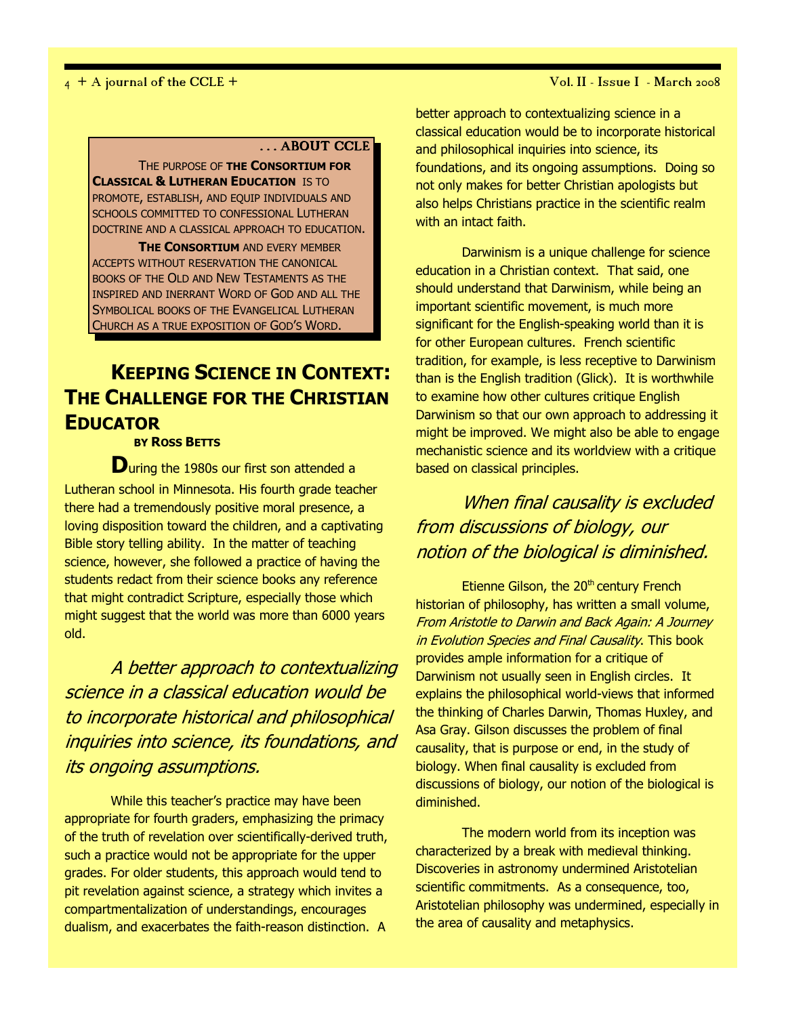#### 4 + A journal of the CCLE + Vol. II - Issue I - March 2008

### . . . ABOUT CCLE

THE PURPOSE OF THE **CONSORTIUM FOR CLASSICAL & LUTHERAN EDUCATION IS TO** PROMOTE, ESTABLISH, AND EQUIP INDIVIDUALS AND SCHOOLS COMMITTED TO CONFESSIONAL LUTHERAN DOCTRINE AND A CLASSICAL APPROACH TO EDUCATION.

**THE CONSORTIUM AND EVERY MEMBER** ACCEPTS WITHOUT RESERVATION THE CANONICAL BOOKS OF THE OLD AND NEW TESTAMENTS AS THE INSPIRED AND INERRANT WORD OF GOD AND ALL THE SYMBOLICAL BOOKS OF THE EVANGELICAL LUTHERAN CHURCH AS A TRUE EXPOSITION OF GOD'S WORD.

## KEEPING SCIENCE IN CONTEXT: THE CHALLENGE FOR THE CHRISTIAN **EDUCATOR**

BY ROSS BETTS

During the 1980s our first son attended a Lutheran school in Minnesota. His fourth grade teacher there had a tremendously positive moral presence, a loving disposition toward the children, and a captivating Bible story telling ability. In the matter of teaching science, however, she followed a practice of having the students redact from their science books any reference that might contradict Scripture, especially those which might suggest that the world was more than 6000 years old.

A better approach to contextualizing science in a classical education would be to incorporate historical and philosophical inquiries into science, its foundations, and its ongoing assumptions.

While this teacher's practice may have been appropriate for fourth graders, emphasizing the primacy of the truth of revelation over scientifically-derived truth, such a practice would not be appropriate for the upper grades. For older students, this approach would tend to pit revelation against science, a strategy which invites a compartmentalization of understandings, encourages dualism, and exacerbates the faith-reason distinction. A

better approach to contextualizing science in a classical education would be to incorporate historical and philosophical inquiries into science, its foundations, and its ongoing assumptions. Doing so not only makes for better Christian apologists but also helps Christians practice in the scientific realm with an intact faith.

Darwinism is a unique challenge for science education in a Christian context. That said, one should understand that Darwinism, while being an important scientific movement, is much more significant for the English-speaking world than it is for other European cultures. French scientific tradition, for example, is less receptive to Darwinism than is the English tradition (Glick). It is worthwhile to examine how other cultures critique English Darwinism so that our own approach to addressing it might be improved. We might also be able to engage mechanistic science and its worldview with a critique based on classical principles.

### When final causality is excluded from discussions of biology, our notion of the biological is diminished.

Etienne Gilson, the 20<sup>th</sup> century French historian of philosophy, has written a small volume, From Aristotle to Darwin and Back Again: A Journey in Evolution Species and Final Causality. This book provides ample information for a critique of Darwinism not usually seen in English circles. It explains the philosophical world-views that informed the thinking of Charles Darwin, Thomas Huxley, and Asa Gray. Gilson discusses the problem of final causality, that is purpose or end, in the study of biology. When final causality is excluded from discussions of biology, our notion of the biological is diminished.

The modern world from its inception was characterized by a break with medieval thinking. Discoveries in astronomy undermined Aristotelian scientific commitments. As a consequence, too, Aristotelian philosophy was undermined, especially in the area of causality and metaphysics.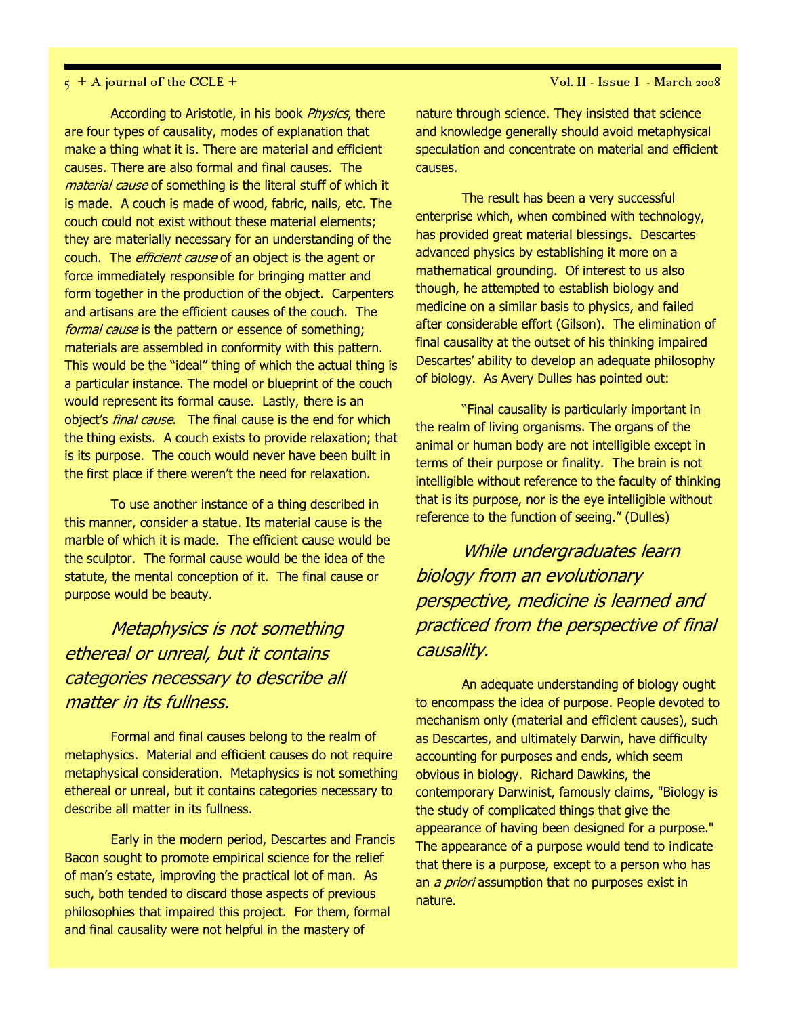### $5 + A$  journal of the CCLE +  $\overline{V}$  + A journal of the CCLE +

According to Aristotle, in his book Physics, there are four types of causality, modes of explanation that make a thing what it is. There are material and efficient causes. There are also formal and final causes. The material cause of something is the literal stuff of which it is made. A couch is made of wood, fabric, nails, etc. The couch could not exist without these material elements; they are materially necessary for an understanding of the couch. The *efficient cause* of an object is the agent or force immediately responsible for bringing matter and form together in the production of the object. Carpenters and artisans are the efficient causes of the couch. The formal cause is the pattern or essence of something; materials are assembled in conformity with this pattern. This would be the "ideal" thing of which the actual thing is a particular instance. The model or blueprint of the couch would represent its formal cause. Lastly, there is an object's *final cause*. The final cause is the end for which the thing exists. A couch exists to provide relaxation; that is its purpose. The couch would never have been built in the first place if there weren't the need for relaxation.

To use another instance of a thing described in this manner, consider a statue. Its material cause is the marble of which it is made. The efficient cause would be the sculptor. The formal cause would be the idea of the statute, the mental conception of it. The final cause or purpose would be beauty.

## Metaphysics is not something ethereal or unreal, but it contains categories necessary to describe all matter in its fullness.

Formal and final causes belong to the realm of metaphysics. Material and efficient causes do not require metaphysical consideration. Metaphysics is not something ethereal or unreal, but it contains categories necessary to describe all matter in its fullness.

Early in the modern period, Descartes and Francis Bacon sought to promote empirical science for the relief of man's estate, improving the practical lot of man. As such, both tended to discard those aspects of previous philosophies that impaired this project. For them, formal and final causality were not helpful in the mastery of

nature through science. They insisted that science and knowledge generally should avoid metaphysical speculation and concentrate on material and efficient causes.

The result has been a very successful enterprise which, when combined with technology, has provided great material blessings. Descartes advanced physics by establishing it more on a mathematical grounding. Of interest to us also though, he attempted to establish biology and medicine on a similar basis to physics, and failed after considerable effort (Gilson). The elimination of final causality at the outset of his thinking impaired Descartes' ability to develop an adequate philosophy of biology. As Avery Dulles has pointed out:

"Final causality is particularly important in the realm of living organisms. The organs of the animal or human body are not intelligible except in terms of their purpose or finality. The brain is not intelligible without reference to the faculty of thinking that is its purpose, nor is the eye intelligible without reference to the function of seeing." (Dulles)

While undergraduates learn biology from an evolutionary perspective, medicine is learned and practiced from the perspective of final causality.

An adequate understanding of biology ought to encompass the idea of purpose. People devoted to mechanism only (material and efficient causes), such as Descartes, and ultimately Darwin, have difficulty accounting for purposes and ends, which seem obvious in biology. Richard Dawkins, the contemporary Darwinist, famously claims, "Biology is the study of complicated things that give the appearance of having been designed for a purpose." The appearance of a purpose would tend to indicate that there is a purpose, except to a person who has an *a priori* assumption that no purposes exist in nature.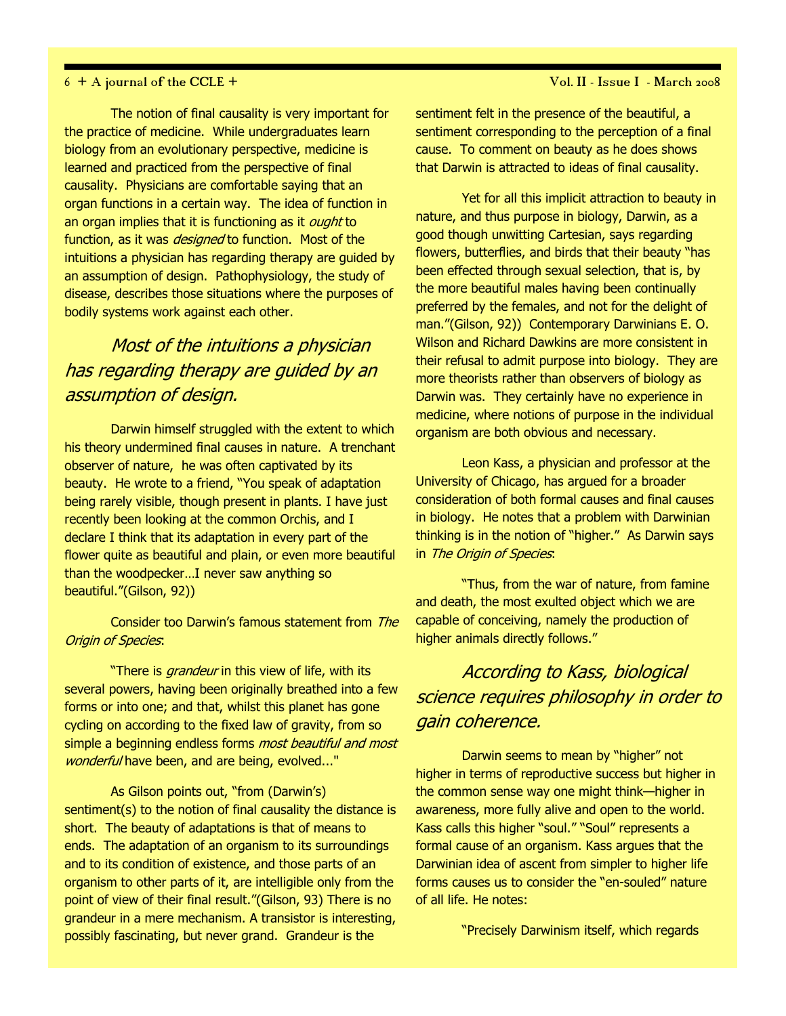The notion of final causality is very important for the practice of medicine. While undergraduates learn biology from an evolutionary perspective, medicine is learned and practiced from the perspective of final causality. Physicians are comfortable saying that an organ functions in a certain way. The idea of function in an organ implies that it is functioning as it *ought* to function, as it was *designed* to function. Most of the intuitions a physician has regarding therapy are guided by an assumption of design. Pathophysiology, the study of disease, describes those situations where the purposes of bodily systems work against each other.

### Most of the intuitions a physician has regarding therapy are guided by an assumption of design.

Darwin himself struggled with the extent to which his theory undermined final causes in nature. A trenchant observer of nature, he was often captivated by its beauty. He wrote to a friend, "You speak of adaptation being rarely visible, though present in plants. I have just recently been looking at the common Orchis, and I declare I think that its adaptation in every part of the flower quite as beautiful and plain, or even more beautiful than the woodpecker…I never saw anything so beautiful."(Gilson, 92))

Consider too Darwin's famous statement from The Origin of Species:

"There is *grandeur* in this view of life, with its several powers, having been originally breathed into a few forms or into one; and that, whilst this planet has gone cycling on according to the fixed law of gravity, from so simple a beginning endless forms *most beautiful and most* wonderful have been, and are being, evolved..."

As Gilson points out, "from (Darwin's) sentiment(s) to the notion of final causality the distance is short. The beauty of adaptations is that of means to ends. The adaptation of an organism to its surroundings and to its condition of existence, and those parts of an organism to other parts of it, are intelligible only from the point of view of their final result."(Gilson, 93) There is no grandeur in a mere mechanism. A transistor is interesting, possibly fascinating, but never grand. Grandeur is the

 $6 + A$  journal of the CCLE +  $V$ ol. II - Issue I - March 2008

sentiment felt in the presence of the beautiful, a sentiment corresponding to the perception of a final cause. To comment on beauty as he does shows that Darwin is attracted to ideas of final causality.

Yet for all this implicit attraction to beauty in nature, and thus purpose in biology, Darwin, as a good though unwitting Cartesian, says regarding flowers, butterflies, and birds that their beauty "has been effected through sexual selection, that is, by the more beautiful males having been continually preferred by the females, and not for the delight of man."(Gilson, 92)) Contemporary Darwinians E. O. Wilson and Richard Dawkins are more consistent in their refusal to admit purpose into biology. They are more theorists rather than observers of biology as Darwin was. They certainly have no experience in medicine, where notions of purpose in the individual organism are both obvious and necessary.

Leon Kass, a physician and professor at the University of Chicago, has argued for a broader consideration of both formal causes and final causes in biology. He notes that a problem with Darwinian thinking is in the notion of "higher." As Darwin says in The Origin of Species.

"Thus, from the war of nature, from famine and death, the most exulted object which we are capable of conceiving, namely the production of higher animals directly follows."

## According to Kass, biological science requires philosophy in order to gain coherence.

Darwin seems to mean by "higher" not higher in terms of reproductive success but higher in the common sense way one might think—higher in awareness, more fully alive and open to the world. Kass calls this higher "soul." "Soul" represents a formal cause of an organism. Kass argues that the Darwinian idea of ascent from simpler to higher life forms causes us to consider the "en-souled" nature of all life. He notes:

"Precisely Darwinism itself, which regards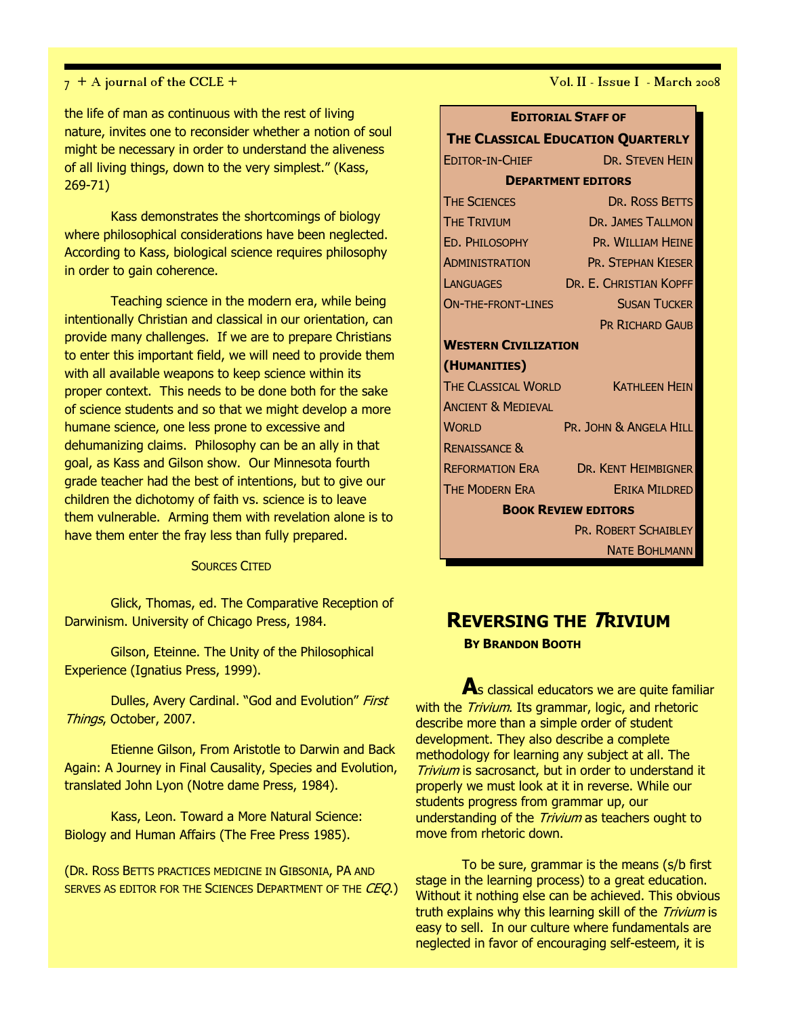the life of man as continuous with the rest of living nature, invites one to reconsider whether a notion of soul might be necessary in order to understand the aliveness of all living things, down to the very simplest." (Kass, 269-71)

Kass demonstrates the shortcomings of biology where philosophical considerations have been neglected. According to Kass, biological science requires philosophy in order to gain coherence.

Teaching science in the modern era, while being intentionally Christian and classical in our orientation, can provide many challenges. If we are to prepare Christians to enter this important field, we will need to provide them with all available weapons to keep science within its proper context. This needs to be done both for the sake of science students and so that we might develop a more humane science, one less prone to excessive and dehumanizing claims. Philosophy can be an ally in that goal, as Kass and Gilson show. Our Minnesota fourth grade teacher had the best of intentions, but to give our children the dichotomy of faith vs. science is to leave them vulnerable. Arming them with revelation alone is to have them enter the fray less than fully prepared.

#### SOURCES CITED

Glick, Thomas, ed. The Comparative Reception of Darwinism. University of Chicago Press, 1984.

Gilson, Eteinne. The Unity of the Philosophical Experience (Ignatius Press, 1999).

Dulles, Avery Cardinal. "God and Evolution" First Things, October, 2007.

Etienne Gilson, From Aristotle to Darwin and Back Again: A Journey in Final Causality, Species and Evolution, translated John Lyon (Notre dame Press, 1984).

Kass, Leon. Toward a More Natural Science: Biology and Human Affairs (The Free Press 1985).

(DR. ROSS BETTS PRACTICES MEDICINE IN GIBSONIA, PA AND SERVES AS EDITOR FOR THE SCIENCES DEPARTMENT OF THE CEO.)

 $7 + A$  journal of the CCLE +  $V$ ol. II - Issue I - March 2008

| <b>EDITORIAL STAFF OF</b>         |                                            |  |
|-----------------------------------|--------------------------------------------|--|
| THE CLASSICAL EDUCATION QUARTERLY |                                            |  |
| EDITOR-IN-CHIEF                   | <b>DR. STEVEN HEIN</b>                     |  |
| <b>DEPARTMENT EDITORS</b>         |                                            |  |
| <b>THE SCIENCES</b>               | DR. ROSS BETTS                             |  |
| <b>THE TRIVIUM</b>                | <b>DR. JAMES TALLMON</b>                   |  |
| ED. PHILOSOPHY                    | PR. WILLIAM HEINE                          |  |
| Administration                    | PR. STEPHAN KIESER                         |  |
| <b>LANGUAGES</b>                  | DR. E. CHRISTIAN KOPFF                     |  |
| ON-THE-FRONT-LINES                | <b>SUSAN TUCKER</b>                        |  |
|                                   | <b>PR RICHARD GAUB</b>                     |  |
| <b>WESTERN CIVILIZATION</b>       |                                            |  |
| (HUMANITIES)                      |                                            |  |
| THE CLASSICAL WORLD               | <b>KATHLEEN HEIN</b>                       |  |
| <b>ANCIENT &amp; MEDIEVAL</b>     |                                            |  |
| <b>WORLD</b>                      | PR. JOHN & ANGELA HILL                     |  |
| <b>RENAISSANCE &amp;</b>          |                                            |  |
|                                   | <b>REFORMATION ERA DR. KENT HEIMBIGNER</b> |  |
| THE MODERN ERA                    | <b>ERIKA MILDRED</b>                       |  |
| <b>BOOK REVIEW EDITORS</b>        |                                            |  |
|                                   | PR. ROBERT SCHAIBLEY                       |  |
|                                   | <b>NATE BOHLMANN</b>                       |  |

## REVERSING THE TRIVIUM

BY BRANDON BOOTH

As classical educators we are quite familiar with the *Trivium*. Its grammar, logic, and rhetoric describe more than a simple order of student development. They also describe a complete methodology for learning any subject at all. The Trivium is sacrosanct, but in order to understand it properly we must look at it in reverse. While our students progress from grammar up, our understanding of the Trivium as teachers ought to move from rhetoric down.

To be sure, grammar is the means (s/b first stage in the learning process) to a great education. Without it nothing else can be achieved. This obvious truth explains why this learning skill of the Trivium is easy to sell. In our culture where fundamentals are neglected in favor of encouraging self-esteem, it is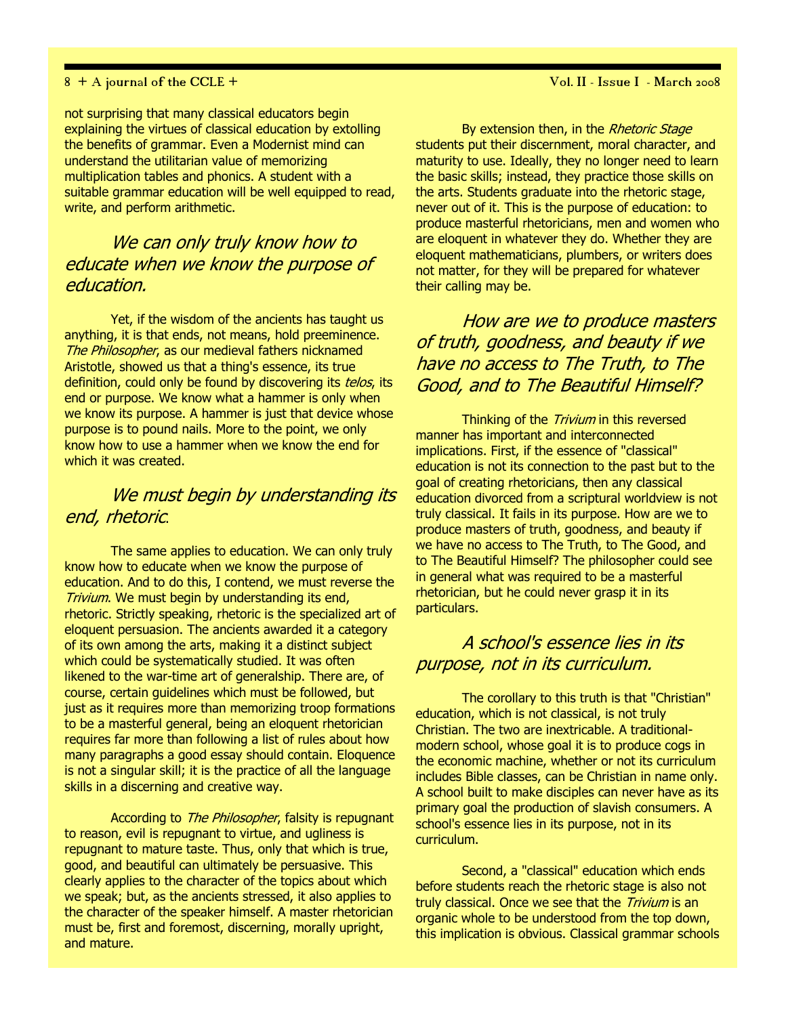### 8 + A journal of the CCLE + Vol. II - Issue I - March 2008

not surprising that many classical educators begin explaining the virtues of classical education by extolling the benefits of grammar. Even a Modernist mind can understand the utilitarian value of memorizing multiplication tables and phonics. A student with a suitable grammar education will be well equipped to read, write, and perform arithmetic.

### We can only truly know how to educate when we know the purpose of education.

Yet, if the wisdom of the ancients has taught us anything, it is that ends, not means, hold preeminence. The Philosopher, as our medieval fathers nicknamed Aristotle, showed us that a thing's essence, its true definition, could only be found by discovering its telos, its end or purpose. We know what a hammer is only when we know its purpose. A hammer is just that device whose purpose is to pound nails. More to the point, we only know how to use a hammer when we know the end for which it was created.

### We must begin by understanding its end, rhetoric.

The same applies to education. We can only truly know how to educate when we know the purpose of education. And to do this, I contend, we must reverse the Trivium. We must begin by understanding its end, rhetoric. Strictly speaking, rhetoric is the specialized art of eloquent persuasion. The ancients awarded it a category of its own among the arts, making it a distinct subject which could be systematically studied. It was often likened to the war-time art of generalship. There are, of course, certain guidelines which must be followed, but just as it requires more than memorizing troop formations to be a masterful general, being an eloquent rhetorician requires far more than following a list of rules about how many paragraphs a good essay should contain. Eloquence is not a singular skill; it is the practice of all the language skills in a discerning and creative way.

According to *The Philosopher*, falsity is repugnant to reason, evil is repugnant to virtue, and ugliness is repugnant to mature taste. Thus, only that which is true, good, and beautiful can ultimately be persuasive. This clearly applies to the character of the topics about which we speak; but, as the ancients stressed, it also applies to the character of the speaker himself. A master rhetorician must be, first and foremost, discerning, morally upright, and mature.

By extension then, in the Rhetoric Stage students put their discernment, moral character, and maturity to use. Ideally, they no longer need to learn the basic skills; instead, they practice those skills on the arts. Students graduate into the rhetoric stage, never out of it. This is the purpose of education: to produce masterful rhetoricians, men and women who are eloquent in whatever they do. Whether they are eloquent mathematicians, plumbers, or writers does not matter, for they will be prepared for whatever their calling may be.

How are we to produce masters of truth, goodness, and beauty if we have no access to The Truth, to The Good, and to The Beautiful Himself?

Thinking of the *Trivium* in this reversed manner has important and interconnected implications. First, if the essence of "classical" education is not its connection to the past but to the goal of creating rhetoricians, then any classical education divorced from a scriptural worldview is not truly classical. It fails in its purpose. How are we to produce masters of truth, goodness, and beauty if we have no access to The Truth, to The Good, and to The Beautiful Himself? The philosopher could see in general what was required to be a masterful rhetorician, but he could never grasp it in its particulars.

### A school's essence lies in its purpose, not in its curriculum.

The corollary to this truth is that "Christian" education, which is not classical, is not truly Christian. The two are inextricable. A traditionalmodern school, whose goal it is to produce cogs in the economic machine, whether or not its curriculum includes Bible classes, can be Christian in name only. A school built to make disciples can never have as its primary goal the production of slavish consumers. A school's essence lies in its purpose, not in its curriculum.

Second, a "classical" education which ends before students reach the rhetoric stage is also not truly classical. Once we see that the Trivium is an organic whole to be understood from the top down, this implication is obvious. Classical grammar schools